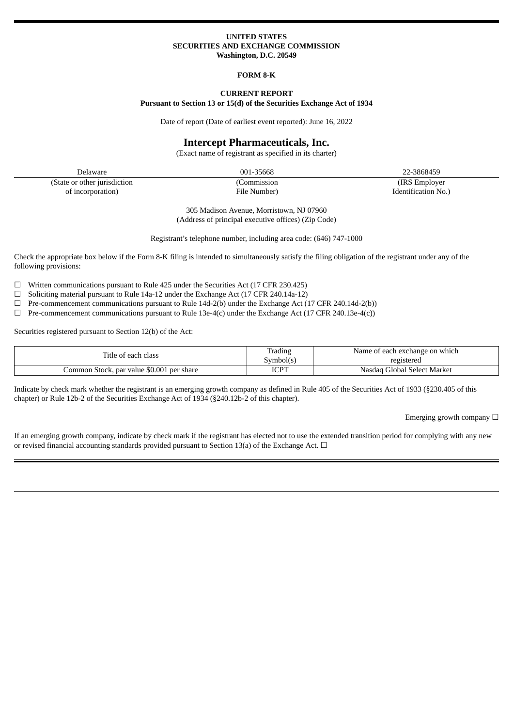#### **UNITED STATES SECURITIES AND EXCHANGE COMMISSION Washington, D.C. 20549**

#### **FORM 8-K**

#### **CURRENT REPORT Pursuant to Section 13 or 15(d) of the Securities Exchange Act of 1934**

Date of report (Date of earliest event reported): June 16, 2022

## **Intercept Pharmaceuticals, Inc.**

(Exact name of registrant as specified in its charter)

Delaware 001-35668 22-3868459 (State or other jurisdiction (Commission (IRS Employer of incorporation) File Number) Identification No.)

305 Madison Avenue, Morristown, NJ 07960 (Address of principal executive offices) (Zip Code)

Registrant's telephone number, including area code: (646) 747-1000

Check the appropriate box below if the Form 8-K filing is intended to simultaneously satisfy the filing obligation of the registrant under any of the following provisions:

 $\Box$  Written communications pursuant to Rule 425 under the Securities Act (17 CFR 230.425)

- ☐ Soliciting material pursuant to Rule 14a-12 under the Exchange Act (17 CFR 240.14a-12)
- $\Box$  Pre-commencement communications pursuant to Rule 14d-2(b) under the Exchange Act (17 CFR 240.14d-2(b))
- $\Box$  Pre-commencement communications pursuant to Rule 13e-4(c) under the Exchange Act (17 CFR 240.13e-4(c))

Securities registered pursuant to Section 12(b) of the Act:

| Title of each class                       | Trading<br>Symbol(s | Name of each exchange on which<br>registered |
|-------------------------------------------|---------------------|----------------------------------------------|
| Common Stock, par value \$0.001 per share | ⊤מרו<br>1 J L L     | Nasdag Global Select Market                  |

Indicate by check mark whether the registrant is an emerging growth company as defined in Rule 405 of the Securities Act of 1933 (§230.405 of this chapter) or Rule 12b-2 of the Securities Exchange Act of 1934 (§240.12b-2 of this chapter).

Emerging growth company  $\Box$ 

If an emerging growth company, indicate by check mark if the registrant has elected not to use the extended transition period for complying with any new or revised financial accounting standards provided pursuant to Section 13(a) of the Exchange Act.  $\Box$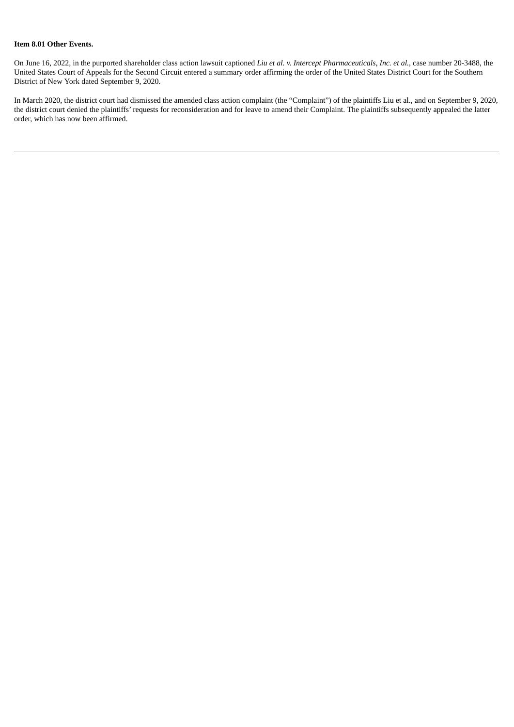### **Item 8.01 Other Events.**

On June 16, 2022, in the purported shareholder class action lawsuit captioned *Liu et al. v. Intercept Pharmaceuticals, Inc. et al.*, case number 20-3488, the United States Court of Appeals for the Second Circuit entered a summary order affirming the order of the United States District Court for the Southern District of New York dated September 9, 2020.

In March 2020, the district court had dismissed the amended class action complaint (the "Complaint") of the plaintiffs Liu et al., and on September 9, 2020, the district court denied the plaintiffs' requests for reconsideration and for leave to amend their Complaint. The plaintiffs subsequently appealed the latter order, which has now been affirmed.